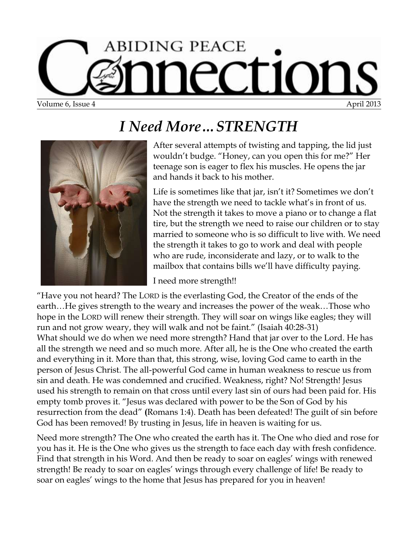## **ABIDING PEACE** CEIOE Volume 6, Issue 4 April 2013

*I Need More…STRENGTH*



After several attempts of twisting and tapping, the lid just wouldn't budge. "Honey, can you open this for me?" Her teenage son is eager to flex his muscles. He opens the jar and hands it back to his mother.

Life is sometimes like that jar, isn't it? Sometimes we don't have the strength we need to tackle what's in front of us. Not the strength it takes to move a piano or to change a flat tire, but the strength we need to raise our children or to stay married to someone who is so difficult to live with. We need the strength it takes to go to work and deal with people who are rude, inconsiderate and lazy, or to walk to the mailbox that contains bills we'll have difficulty paying.

I need more strength!!

"Have you not heard? The LORD is the everlasting God, the Creator of the ends of the earth…He gives strength to the weary and increases the power of the weak…Those who hope in the LORD will renew their strength. They will soar on wings like eagles; they will run and not grow weary, they will walk and not be faint." (Isaiah 40:28-31) What should we do when we need more strength? Hand that jar over to the Lord. He has all the strength we need and so much more. After all, he is the One who created the earth and everything in it. More than that, this strong, wise, loving God came to earth in the person of Jesus Christ. The all-powerful God came in human weakness to rescue us from sin and death. He was condemned and crucified. Weakness, right? No! Strength! Jesus used his strength to remain on that cross until every last sin of ours had been paid for. His empty tomb proves it. "Jesus was declared with power to be the Son of God by his resurrection from the dead" **(**Romans 1:4). Death has been defeated! The guilt of sin before God has been removed! By trusting in Jesus, life in heaven is waiting for us.

Need more strength? The One who created the earth has it. The One who died and rose for you has it. He is the One who gives us the strength to face each day with fresh confidence. Find that strength in his Word. And then be ready to soar on eagles' wings with renewed strength! Be ready to soar on eagles' wings through every challenge of life! Be ready to soar on eagles' wings to the home that Jesus has prepared for you in heaven!